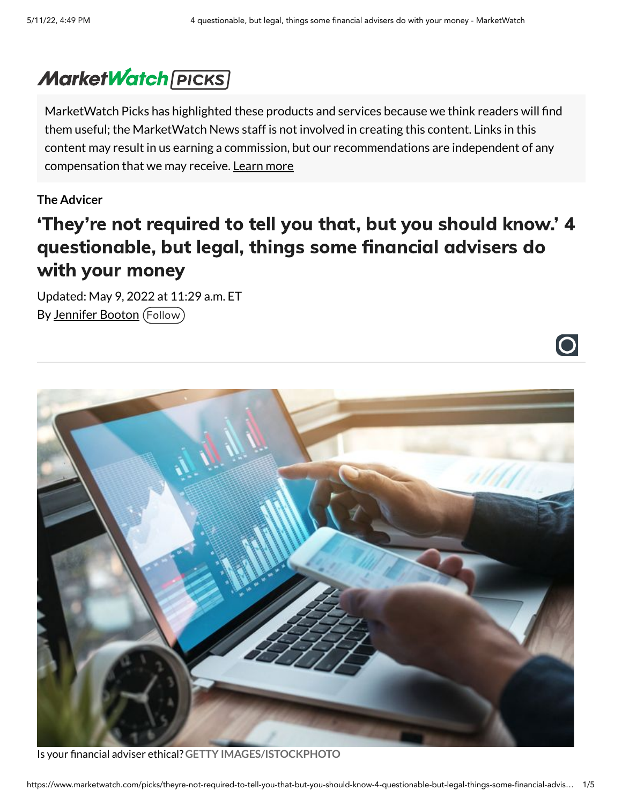$\bigcirc$ 

# **MarketWatch [PICKS]**

MarketWatch Picks has highlighted these products and services because we think readers will find them useful; the MarketWatch News staff is not involved in creating this content. Links in this content may result in us earning a commission, but our recommendations are independent of any compensation that we may receive. [Learn](https://www.marketwatch.com/picks/disclaimer?mod=article_inline) more

#### **The Advicer**

# 'They're not required to tell you that, but you should know.' 4 questionable, but legal, things some financial advisers do with your money

Updated: May 9, 2022 at 11:29 a.m. ET By [Jennifer](https://www.marketwatch.com/author/jennifer-booton) Booton (Follow)



Is your financial adviser ethical? **GETTY IMAGES/ISTOCKPHOTO**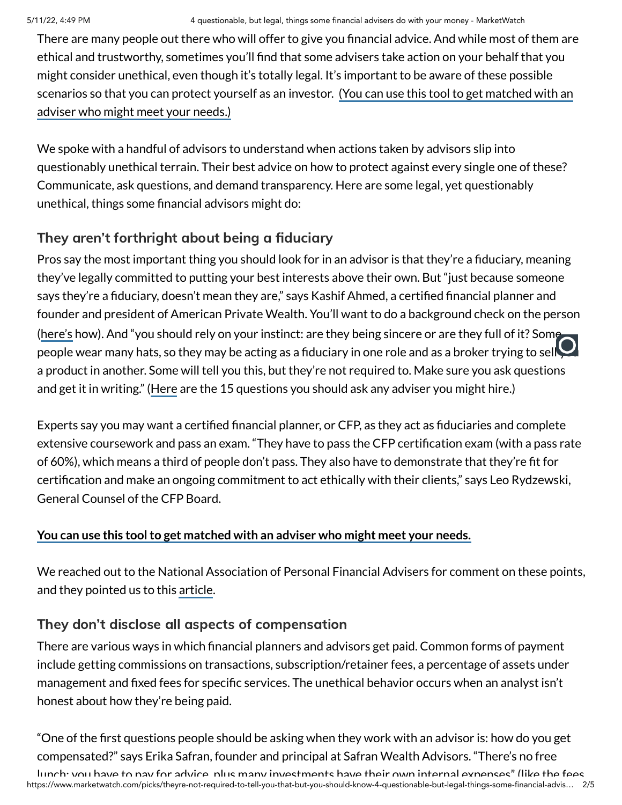There are many people out there who will offer to give you financial advice. And while most of them are ethical and trustworthy, sometimes you'll find that some advisers take action on your behalf that you might consider unethical, even though it's totally legal. It's important to be aware of these possible scenarios so that you can protect yourself as an investor. (You can use this tool to get [matched with](https://smartasset.com/retirement/find-a-financial-planner?utm_source=marketwatch&utm_campaign=mar__falc_dtf_marketplacecontent&utm_content=textlink&utm_medium=cpc%20&utm_term=questionableadvisor040622) an adviser who might meet your needs.)

We spoke with a handful of advisors to understand when actions taken by advisors slip into questionably unethical terrain. Their best advice on how to protect against every single one of these? Communicate, ask questions, and demand transparency. Here are some legal, yet questionably unethical, things some financial advisors might do:

## They aren't forthright about being a fiduciary

Pros say the most important thing you should look for in an advisor is that they're a fiduciary, meaning they've legally committed to putting your best interests above their own. But "just because someone says they're a fiduciary, doesn't mean they are," says Kashif Ahmed, a certified financial planner and founder and president of American Private Wealth. You'll want to do a background check on the person [\(here's](https://www.marketwatch.com/picks/how-do-i-know-im-not-hiring-the-next-madoff-i-now-have-a-six-figure-nest-egg-and-put-up-with-a-lot-of-guff-to-earn-my-money-how-do-i-find-a-financial-adviser-who-can-make-sure-my-hard-earned-cash-will-last-01651694614?mod=article_inline) how). And "you should rely on your instinct: are they being sincere or are they full of it? Some people wear many hats, so they may be acting as a fiduciary in one role and as a broker trying to sell a product in another. Some will tell you this, but they're not required to. Make sure you ask questions and get it in writing." [\(Here](https://www.marketwatch.com/picks/one-surprising-question-you-should-ask-any-financial-advisor-you-might-hire-their-answer-could-be-a-huge-red-flag-01626895588?mod=article_inline) are the 15 questions you should ask any adviser you might hire.)

Experts say you may want a certified financial planner, or CFP, as they act as fiduciaries and complete extensive coursework and pass an exam. "They have to pass the CFP certification exam (with a pass rate of 60%), which means a third of people don't pass. They also have to demonstrate that they're fit for certification and make an ongoing commitment to act ethically with their clients," says Leo Rydzewski, General Counsel of the CFP Board.

#### **You can use this toolto get [matched](https://smartasset.com/retirement/find-a-financial-planner?utm_source=marketwatch&utm_campaign=mar__falc_dtf_marketplacecontent&utm_content=textlink&utm_medium=cpc%20&utm_term=questionableadvisor040622) with an adviser who might meet your needs.**

We reached out to the National Association of Personal Financial Advisers for comment on these points, and they pointed us to this [article.](https://www.brandpointcontent.com/article/39319/5-ways-to-identify-quality-financial-information-online)

### They don't disclose all aspects of compensation

There are various ways in which financial planners and advisors get paid. Common forms of payment include getting commissions on transactions, subscription/retainer fees, a percentage of assets under management and fixed fees for specific services. The unethical behavior occurs when an analyst isn't honest about how they're being paid.

"One of the first questions people should be asking when they work with an advisor is: how do you get compensated?" says Erika Safran, founder and principal at Safran Wealth Advisors. "There's no free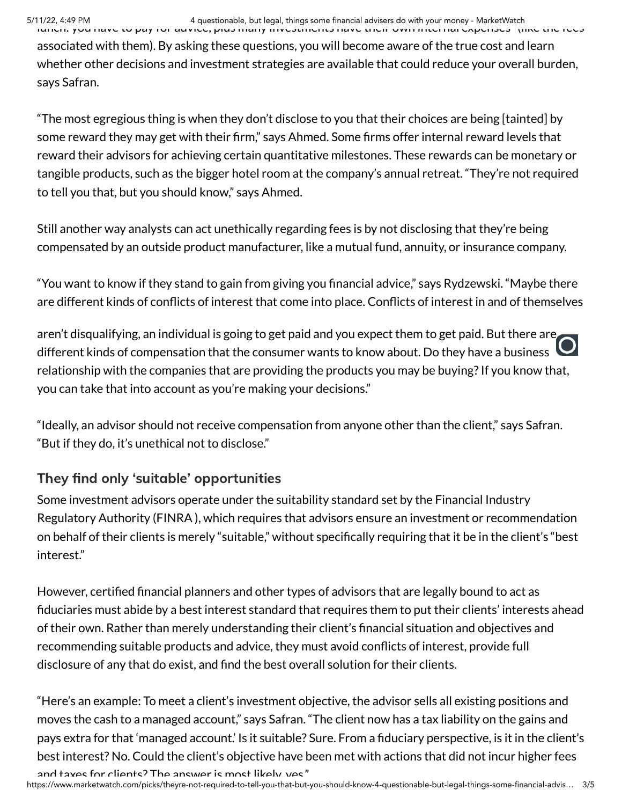associated with them). By asking these questions, you will become aware of the true cost and learn whether other decisions and investment strategies are available that could reduce your overall burden, says Safran.

"The most egregious thing is when they don't disclose to you that their choices are being [tainted] by some reward they may get with their firm," says Ahmed. Some firms offer internal reward levels that reward their advisors for achieving certain quantitative milestones. These rewards can be monetary or tangible products, such as the bigger hotel room at the company's annual retreat. "They're not required to tell you that, but you should know," says Ahmed.

Still another way analysts can act unethically regarding fees is by not disclosing that they're being compensated by an outside product manufacturer, like a mutual fund, annuity, or insurance company.

"You want to know if they stand to gain from giving you financial advice," says Rydzewski. "Maybe there are different kinds of conflicts of interest that come into place. Conflicts of interest in and of themselves

aren't disqualifying, an individual is going to get paid and you expect them to get paid. But there are different kinds of compensation that the consumer wants to know about. Do they have a business relationship with the companies that are providing the products you may be buying? If you know that, you can take that into account as you're making your decisions."

"Ideally, an advisor should not receive compensation from anyone other than the client," says Safran. "But if they do, it's unethical not to disclose."

## They find only 'suitable' opportunities

Some investment advisors operate under the suitability standard set by the Financial Industry Regulatory Authority (FINRA ), which requires that advisors ensure an investment or recommendation on behalf of their clients is merely "suitable," without specifically requiring that it be in the client's "best interest."

However, certified financial planners and other types of advisors that are legally bound to act as fiduciaries must abide by a best interest standard that requires them to put their clients' interests ahead of their own. Rather than merely understanding their client's financial situation and objectives and recommending suitable products and advice, they must avoid conflicts of interest, provide full disclosure of any that do exist, and find the best overall solution for their clients.

"Here's an example: To meet a client's investment objective, the advisor sells all existing positions and moves the cash to a managed account," says Safran. "The client now has a tax liability on the gains and pays extra for that 'managed account.' Is it suitable? Sure. From a fiduciary perspective, is it in the client's best interest? No. Could the client's objective have been met with actions that did not incur higher fees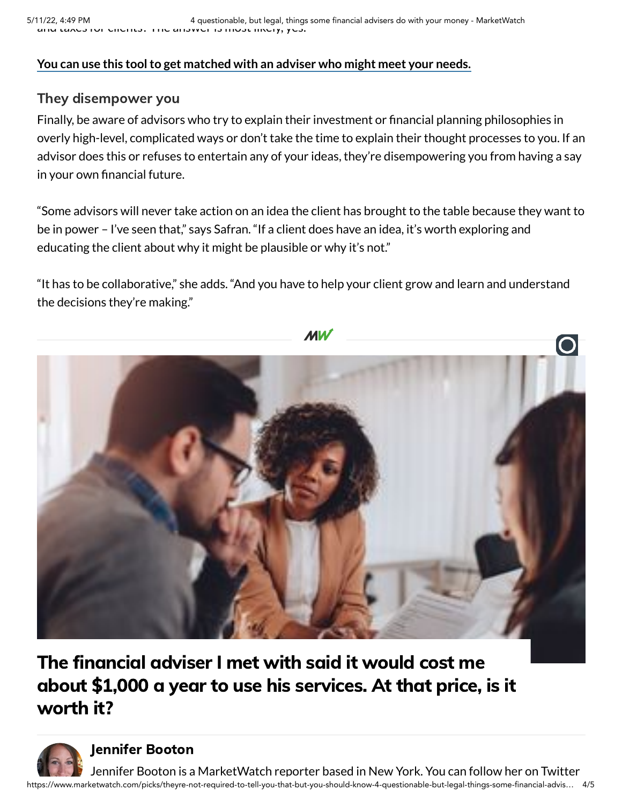#### **You can use this toolto get [matched](https://smartasset.com/retirement/find-a-financial-planner?utm_source=marketwatch&utm_campaign=mar__falc_dtf_marketplacecontent&utm_content=textlink&utm_medium=cpc%20&utm_term=questionableadvisor040622) with an adviser who might meet your needs.**

### They disempower you

Finally, be aware of advisors who try to explain their investment or financial planning philosophies in overly high-level, complicated ways or don't take the time to explain their thought processes to you. If an advisor does this or refuses to entertain any of your ideas, they're disempowering you from having a say in your own financial future.

"Some advisors will never take action on an idea the client has brought to the table because they want to be in power – I've seen that," says Safran. "If a client does have an idea, it's worth exploring and educating the client about why it might be plausible or why it's not."

"It has to be collaborative," she adds. "And you have to help your client grow and learn and understand the decisions they're making."



# The [financial](https://www.marketwatch.com/picks/the-financial-adviser-i-met-with-said-it-would-cost-me-about-1-000-a-year-to-use-his-services-at-that-price-is-it-worth-it-11652122901?mod=mw_more_headlines) adviser I met with said it would cost me about \$1,000 a year to use his services. At that price, is it worth it?



[Jennifer](https://www.marketwatch.com/author/jennifer-booton?mod=MW_author_bio) Booton

https://www.marketwatch.com/picks/theyre-not-required-to-tell-you-that-but-you-should-know-4-questionable-but-legal-things-some-financial-advis… 4/5 Jennifer Booton is a MarketWatch reporter based in New York. You can follow her on Twitter